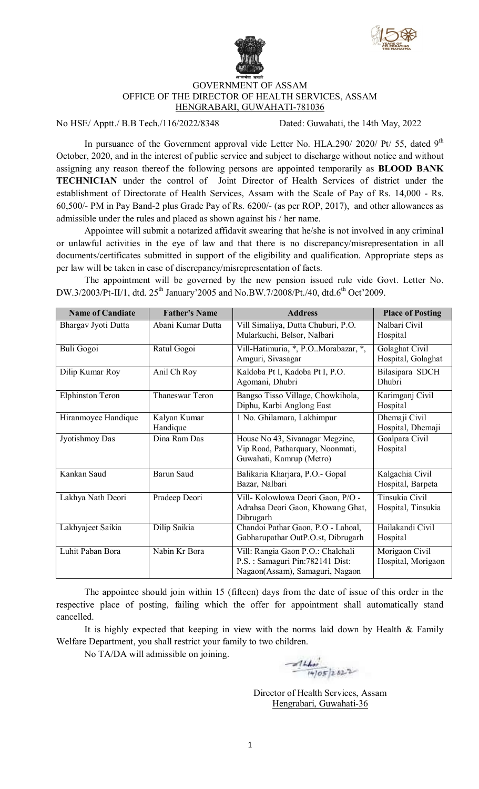



## GOVERNMENT OF ASSAM OFFICE OF THE DIRECTOR OF HEALTH SERVICES, ASSAM HENGRABARI, GUWAHATI-781036

No HSE/ Apptt./ B.B Tech./116/2022/8348 Dated: Guwahati, the 14th May, 2022

In pursuance of the Government approval vide Letter No. HLA.290/ 2020/ Pt/ 55, dated 9<sup>th</sup> October, 2020, and in the interest of public service and subject to discharge without notice and without assigning any reason thereof the following persons are appointed temporarily as **BLOOD BANK TECHNICIAN** under the control of Joint Director of Health Services of district under the establishment of Directorate of Health Services, Assam with the Scale of Pay of Rs. 14,000 - Rs. 60,500/- PM in Pay Band-2 plus Grade Pay of Rs. 6200/- (as per ROP, 2017), and other allowances as admissible under the rules and placed as shown against his / her name.

Appointee will submit a notarized affidavit swearing that he/she is not involved in any criminal or unlawful activities in the eye of law and that there is no discrepancy/misrepresentation in all documents/certificates submitted in support of the eligibility and qualification. Appropriate steps as per law will be taken in case of discrepancy/misrepresentation of facts.

The appointment will be governed by the new pension issued rule vide Govt. Letter No. DW.3/2003/Pt-II/1, dtd. 25<sup>th</sup> January'2005 and No.BW.7/2008/Pt./40, dtd.6<sup>th</sup> Oct'2009.

| <b>Name of Candiate</b> | <b>Father's Name</b>     | <b>Address</b>                                                                                           | <b>Place of Posting</b>              |
|-------------------------|--------------------------|----------------------------------------------------------------------------------------------------------|--------------------------------------|
| Bhargav Jyoti Dutta     | Abani Kumar Dutta        | Vill Simaliya, Dutta Chuburi, P.O.<br>Mularkuchi, Belsor, Nalbari                                        | Nalbari Civil<br>Hospital            |
| <b>Buli Gogoi</b>       | Ratul Gogoi              | Vill-Hatimuria, *, P.OMorabazar, *,<br>Amguri, Sivasagar                                                 | Golaghat Civil<br>Hospital, Golaghat |
| Dilip Kumar Roy         | Anil Ch Roy              | Kaldoba Pt I, Kadoba Pt I, P.O.<br>Agomani, Dhubri                                                       | Bilasipara SDCH<br>Dhubri            |
| <b>Elphinston Teron</b> | Thaneswar Teron          | Bangso Tisso Village, Chowkihola,<br>Diphu, Karbi Anglong East                                           | Karimganj Civil<br>Hospital          |
| Hiranmoyee Handique     | Kalyan Kumar<br>Handique | 1 No. Ghilamara, Lakhimpur                                                                               | Dhemaji Civil<br>Hospital, Dhemaji   |
| Jyotishmoy Das          | Dina Ram Das             | House No 43, Sivanagar Megzine,<br>Vip Road, Patharquary, Noonmati,<br>Guwahati, Kamrup (Metro)          | Goalpara Civil<br>Hospital           |
| Kankan Saud             | Barun Saud               | Balikaria Kharjara, P.O.- Gopal<br>Bazar, Nalbari                                                        | Kalgachia Civil<br>Hospital, Barpeta |
| Lakhya Nath Deori       | Pradeep Deori            | Vill- Kolowlowa Deori Gaon, P/O -<br>Adrahsa Deori Gaon, Khowang Ghat,<br>Dibrugarh                      | Tinsukia Civil<br>Hospital, Tinsukia |
| Lakhyajeet Saikia       | Dilip Saikia             | Chandoi Pathar Gaon, P.O - Lahoal,<br>Gabharupathar OutP.O.st, Dibrugarh                                 | Hailakandi Civil<br>Hospital         |
| Luhit Paban Bora        | Nabin Kr Bora            | Vill: Rangia Gaon P.O.: Chalchali<br>P.S.: Samaguri Pin: 782141 Dist:<br>Nagaon(Assam), Samaguri, Nagaon | Morigaon Civil<br>Hospital, Morigaon |

The appointee should join within 15 (fifteen) days from the date of issue of this order in the respective place of posting, failing which the offer for appointment shall automatically stand cancelled.

It is highly expected that keeping in view with the norms laid down by Health  $\&$  Family Welfare Department, you shall restrict your family to two children.

No TA/DA will admissible on joining.

 $\frac{71440}{19/05}$  2022

Director of Health Services, Assam Hengrabari, Guwahati-36